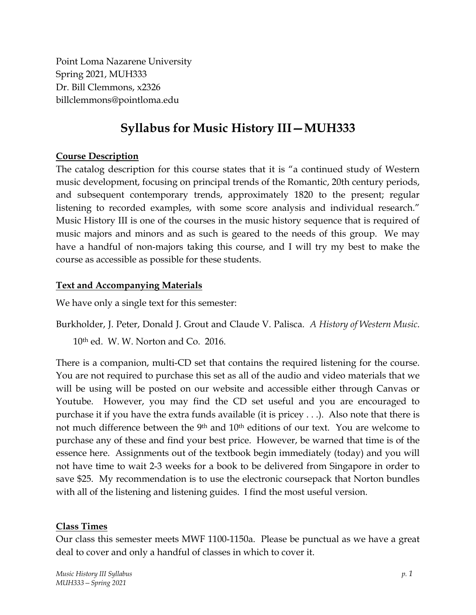Point Loma Nazarene University Spring 2021, MUH333 Dr. Bill Clemmons, x2326 billclemmons@pointloma.edu

# **Syllabus for Music History III—MUH333**

#### **Course Description**

The catalog description for this course states that it is "a continued study of Western music development, focusing on principal trends of the Romantic, 20th century periods, and subsequent contemporary trends, approximately 1820 to the present; regular listening to recorded examples, with some score analysis and individual research." Music History III is one of the courses in the music history sequence that is required of music majors and minors and as such is geared to the needs of this group. We may have a handful of non-majors taking this course, and I will try my best to make the course as accessible as possible for these students.

#### **Text and Accompanying Materials**

We have only a single text for this semester:

Burkholder, J. Peter, Donald J. Grout and Claude V. Palisca. *A History of Western Music*. 10th ed. W. W. Norton and Co. 2016.

There is a companion, multi-CD set that contains the required listening for the course. You are not required to purchase this set as all of the audio and video materials that we will be using will be posted on our website and accessible either through Canvas or Youtube. However, you may find the CD set useful and you are encouraged to purchase it if you have the extra funds available (it is pricey . . .). Also note that there is not much difference between the 9th and 10th editions of our text. You are welcome to purchase any of these and find your best price. However, be warned that time is of the essence here. Assignments out of the textbook begin immediately (today) and you will not have time to wait 2-3 weeks for a book to be delivered from Singapore in order to save \$25. My recommendation is to use the electronic coursepack that Norton bundles with all of the listening and listening guides. I find the most useful version.

# **Class Times**

Our class this semester meets MWF 1100-1150a. Please be punctual as we have a great deal to cover and only a handful of classes in which to cover it.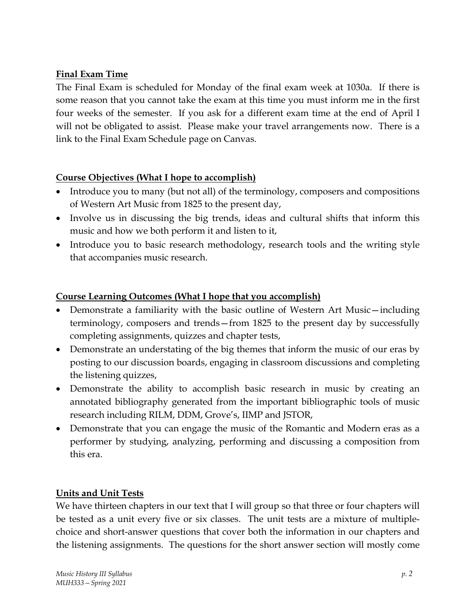# **Final Exam Time**

The Final Exam is scheduled for Monday of the final exam week at 1030a. If there is some reason that you cannot take the exam at this time you must inform me in the first four weeks of the semester. If you ask for a different exam time at the end of April I will not be obligated to assist. Please make your travel arrangements now. There is a link to the Final Exam Schedule page on Canvas.

# **Course Objectives (What I hope to accomplish)**

- Introduce you to many (but not all) of the terminology, composers and compositions of Western Art Music from 1825 to the present day,
- Involve us in discussing the big trends, ideas and cultural shifts that inform this music and how we both perform it and listen to it,
- Introduce you to basic research methodology, research tools and the writing style that accompanies music research.

#### **Course Learning Outcomes (What I hope that you accomplish)**

- Demonstrate a familiarity with the basic outline of Western Art Music—including terminology, composers and trends—from 1825 to the present day by successfully completing assignments, quizzes and chapter tests,
- Demonstrate an understating of the big themes that inform the music of our eras by posting to our discussion boards, engaging in classroom discussions and completing the listening quizzes,
- Demonstrate the ability to accomplish basic research in music by creating an annotated bibliography generated from the important bibliographic tools of music research including RILM, DDM, Grove's, IIMP and JSTOR,
- Demonstrate that you can engage the music of the Romantic and Modern eras as a performer by studying, analyzing, performing and discussing a composition from this era.

# **Units and Unit Tests**

We have thirteen chapters in our text that I will group so that three or four chapters will be tested as a unit every five or six classes. The unit tests are a mixture of multiplechoice and short-answer questions that cover both the information in our chapters and the listening assignments. The questions for the short answer section will mostly come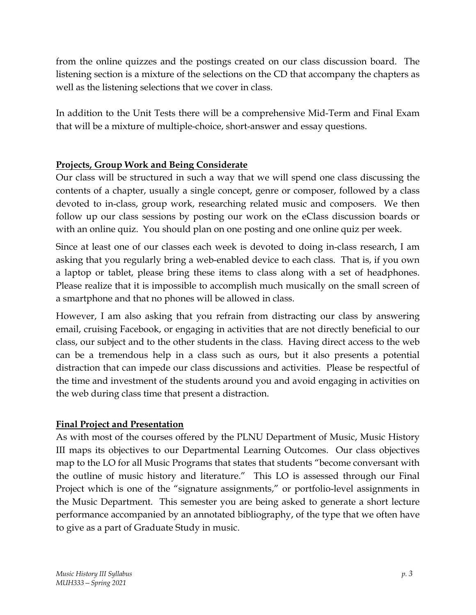from the online quizzes and the postings created on our class discussion board. The listening section is a mixture of the selections on the CD that accompany the chapters as well as the listening selections that we cover in class.

In addition to the Unit Tests there will be a comprehensive Mid-Term and Final Exam that will be a mixture of multiple-choice, short-answer and essay questions.

# **Projects, Group Work and Being Considerate**

Our class will be structured in such a way that we will spend one class discussing the contents of a chapter, usually a single concept, genre or composer, followed by a class devoted to in-class, group work, researching related music and composers. We then follow up our class sessions by posting our work on the eClass discussion boards or with an online quiz. You should plan on one posting and one online quiz per week.

Since at least one of our classes each week is devoted to doing in-class research, I am asking that you regularly bring a web-enabled device to each class. That is, if you own a laptop or tablet, please bring these items to class along with a set of headphones. Please realize that it is impossible to accomplish much musically on the small screen of a smartphone and that no phones will be allowed in class.

However, I am also asking that you refrain from distracting our class by answering email, cruising Facebook, or engaging in activities that are not directly beneficial to our class, our subject and to the other students in the class. Having direct access to the web can be a tremendous help in a class such as ours, but it also presents a potential distraction that can impede our class discussions and activities. Please be respectful of the time and investment of the students around you and avoid engaging in activities on the web during class time that present a distraction.

# **Final Project and Presentation**

As with most of the courses offered by the PLNU Department of Music, Music History III maps its objectives to our Departmental Learning Outcomes. Our class objectives map to the LO for all Music Programs that states that students "become conversant with the outline of music history and literature." This LO is assessed through our Final Project which is one of the "signature assignments," or portfolio-level assignments in the Music Department. This semester you are being asked to generate a short lecture performance accompanied by an annotated bibliography, of the type that we often have to give as a part of Graduate Study in music.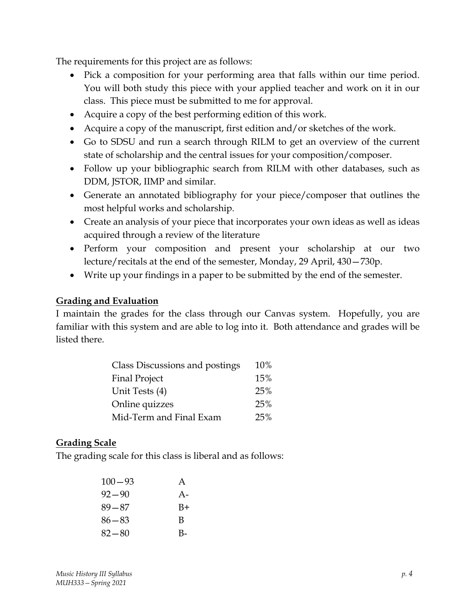The requirements for this project are as follows:

- Pick a composition for your performing area that falls within our time period. You will both study this piece with your applied teacher and work on it in our class. This piece must be submitted to me for approval.
- Acquire a copy of the best performing edition of this work.
- Acquire a copy of the manuscript, first edition and/or sketches of the work.
- Go to SDSU and run a search through RILM to get an overview of the current state of scholarship and the central issues for your composition/composer.
- Follow up your bibliographic search from RILM with other databases, such as DDM, JSTOR, IIMP and similar.
- Generate an annotated bibliography for your piece/composer that outlines the most helpful works and scholarship.
- Create an analysis of your piece that incorporates your own ideas as well as ideas acquired through a review of the literature
- Perform your composition and present your scholarship at our two lecture/recitals at the end of the semester, Monday, 29 April, 430—730p.
- Write up your findings in a paper to be submitted by the end of the semester.

#### **Grading and Evaluation**

I maintain the grades for the class through our Canvas system. Hopefully, you are familiar with this system and are able to log into it. Both attendance and grades will be listed there.

| Class Discussions and postings | 10% |
|--------------------------------|-----|
| <b>Final Project</b>           | 15% |
| Unit Tests (4)                 | 25% |
| Online quizzes                 | 25% |
| Mid-Term and Final Exam        | 25% |

# **Grading Scale**

The grading scale for this class is liberal and as follows:

| $100 - 93$ | A    |
|------------|------|
| $92 - 90$  | $A-$ |
| $89 - 87$  | B+   |
| $86 - 83$  | B    |
| $82 - 80$  | B-   |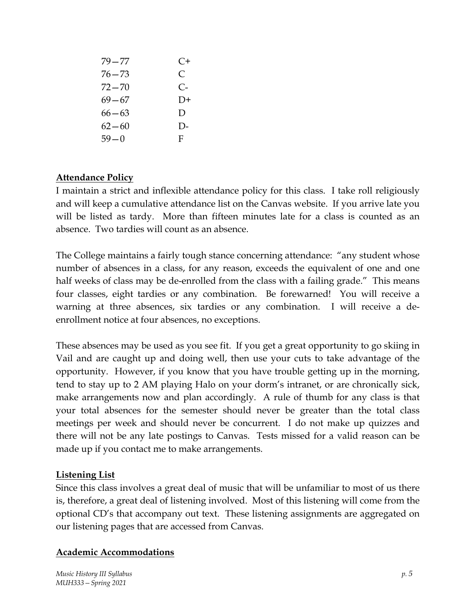| 79—77     | $C+$     |
|-----------|----------|
| 76—73     | C        |
| 72—70     | C-       |
| 69—67     | $D+$     |
| $66 - 63$ | D        |
| $62 - 60$ | $\Gamma$ |
| $59 - 0$  | F        |

#### **Attendance Policy**

I maintain a strict and inflexible attendance policy for this class. I take roll religiously and will keep a cumulative attendance list on the Canvas website. If you arrive late you will be listed as tardy. More than fifteen minutes late for a class is counted as an absence. Two tardies will count as an absence.

The College maintains a fairly tough stance concerning attendance: "any student whose number of absences in a class, for any reason, exceeds the equivalent of one and one half weeks of class may be de-enrolled from the class with a failing grade." This means four classes, eight tardies or any combination. Be forewarned! You will receive a warning at three absences, six tardies or any combination. I will receive a deenrollment notice at four absences, no exceptions.

These absences may be used as you see fit. If you get a great opportunity to go skiing in Vail and are caught up and doing well, then use your cuts to take advantage of the opportunity. However, if you know that you have trouble getting up in the morning, tend to stay up to 2 AM playing Halo on your dorm's intranet, or are chronically sick, make arrangements now and plan accordingly. A rule of thumb for any class is that your total absences for the semester should never be greater than the total class meetings per week and should never be concurrent. I do not make up quizzes and there will not be any late postings to Canvas. Tests missed for a valid reason can be made up if you contact me to make arrangements.

#### **Listening List**

Since this class involves a great deal of music that will be unfamiliar to most of us there is, therefore, a great deal of listening involved. Most of this listening will come from the optional CD's that accompany out text. These listening assignments are aggregated on our listening pages that are accessed from Canvas.

#### **Academic Accommodations**